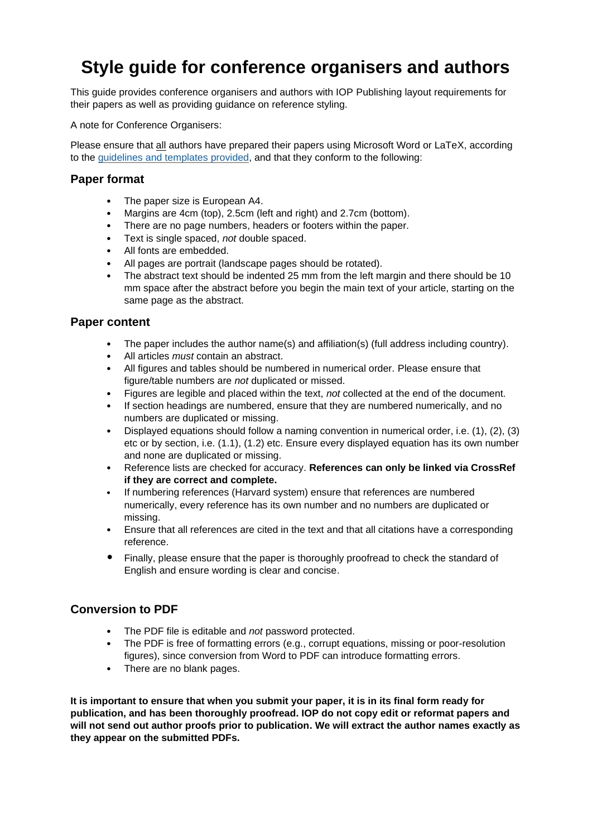# **Style guide for conference organisers and authors**

This guide provides conference organisers and authors with IOP Publishing layout requirements for their papers as well as providing guidance on reference styling.

A note for Conference Organisers:

Please ensure that all authors have prepared their papers using Microsoft Word or LaTeX, according to the [guidelines and templates](https://publishingsupport.iopscience.iop.org/questions/templates-and-guidelines-for-proceedings-papers/) provided, and that they conform to the following:

## **Paper format**

- The paper size is European A4.
- Margins are 4cm (top), 2.5cm (left and right) and 2.7cm (bottom).
- There are no page numbers, headers or footers within the paper.
- Text is single spaced, *not* double spaced.
- All fonts are embedded.
- All pages are portrait (landscape pages should be rotated).
- The abstract text should be indented 25 mm from the left margin and there should be 10 mm space after the abstract before you begin the main text of your article, starting on the same page as the abstract.

## **Paper content**

- The paper includes the author name(s) and affiliation(s) (full address including country).
- All articles *must* contain an abstract.
- All figures and tables should be numbered in numerical order. Please ensure that figure/table numbers are *not* duplicated or missed.
- Figures are legible and placed within the text, *not* collected at the end of the document.
- If section headings are numbered, ensure that they are numbered numerically, and no numbers are duplicated or missing.
- Displayed equations should follow a naming convention in numerical order, i.e. (1), (2), (3) etc or by section, i.e. (1.1), (1.2) etc. Ensure every displayed equation has its own number and none are duplicated or missing.
- Reference lists are checked for accuracy. **References can only be linked via CrossRef if they are correct and complete.**
- If numbering references (Harvard system) ensure that references are numbered numerically, every reference has its own number and no numbers are duplicated or missing.
- Ensure that all references are cited in the text and that all citations have a corresponding reference.
- Finally, please ensure that the paper is thoroughly proofread to check the standard of English and ensure wording is clear and concise.

# **Conversion to PDF**

- The PDF file is editable and *not* password protected.
- The PDF is free of formatting errors (e.g., corrupt equations, missing or poor-resolution figures), since conversion from Word to PDF can introduce formatting errors.
- There are no blank pages.

**It is important to ensure that when you submit your paper, it is in its final form ready for publication, and has been thoroughly proofread. IOP do not copy edit or reformat papers and will not send out author proofs prior to publication. We will extract the author names exactly as they appear on the submitted PDFs.**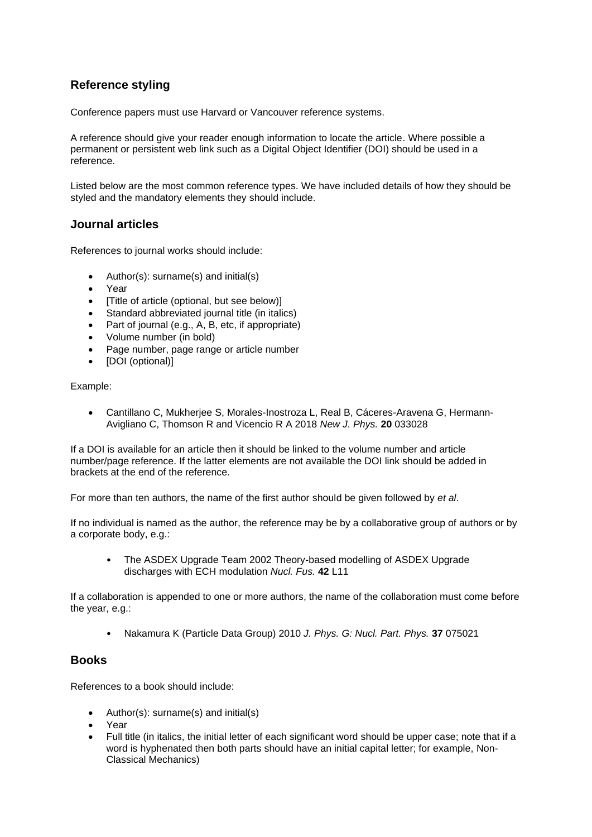# **Reference styling**

Conference papers must use Harvard or Vancouver reference systems.

A reference should give your reader enough information to locate the article. Where possible a permanent or persistent web link such as a Digital Object Identifier (DOI) should be used in a reference.

Listed below are the most common reference types. We have included details of how they should be styled and the mandatory elements they should include.

## **Journal articles**

References to journal works should include:

- Author(s): surname(s) and initial(s)
- Year
- [Title of article (optional, but see below)]
- Standard abbreviated journal title (in italics)
- Part of journal (e.g., A, B, etc, if appropriate)
- Volume number (in bold)
- Page number, page range or article number
- [DOI (optional)]

Example:

• Cantillano C, Mukherjee S, Morales-Inostroza L, Real B, Cáceres-Aravena G, Hermann-Avigliano C, Thomson R and Vicencio R A 2018 *New J. Phys.* **20** 033028

If a DOI is available for an article then it should be linked to the volume number and article number/page reference. If the latter elements are not available the DOI link should be added in brackets at the end of the reference.

For more than ten authors, the name of the first author should be given followed by *et al*.

If no individual is named as the author, the reference may be by a collaborative group of authors or by a corporate body, e.g.:

• The ASDEX Upgrade Team 2002 Theory-based modelling of ASDEX Upgrade discharges with ECH modulation *Nucl. Fus.* **42** L11

If a collaboration is appended to one or more authors, the name of the collaboration must come before the year, e.g.:

• Nakamura K (Particle Data Group) 2010 *J. Phys. G: Nucl. Part. Phys.* **37** 075021

## **Books**

References to a book should include:

- Author(s): surname(s) and initial(s)
- Year
- Full title (in italics, the initial letter of each significant word should be upper case; note that if a word is hyphenated then both parts should have an initial capital letter; for example, Non-Classical Mechanics)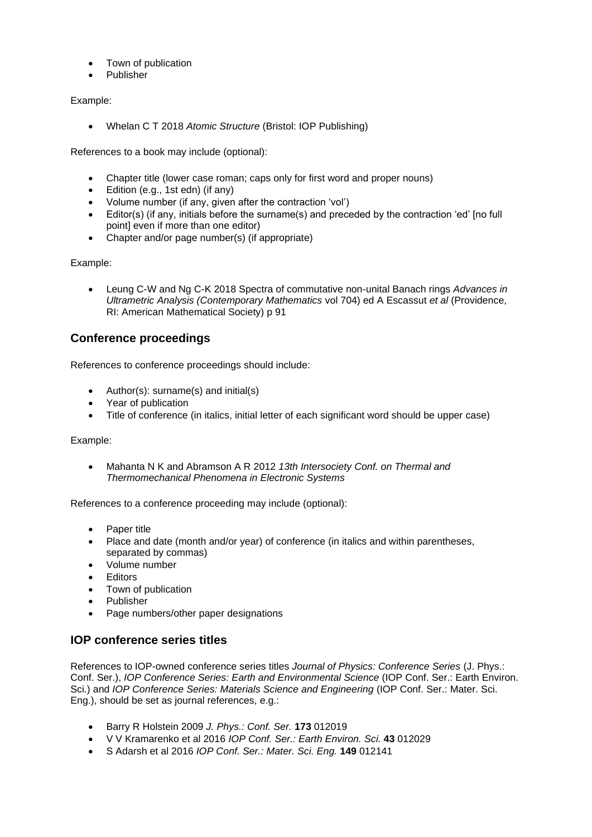- Town of publication
- Publisher

#### Example:

• Whelan C T 2018 *Atomic Structure* (Bristol: IOP Publishing)

References to a book may include (optional):

- Chapter title (lower case roman; caps only for first word and proper nouns)
- Edition (e.g., 1st edn) (if any)
- Volume number (if any, given after the contraction 'vol')
- Editor(s) (if any, initials before the surname(s) and preceded by the contraction 'ed' [no full point] even if more than one editor)
- Chapter and/or page number(s) (if appropriate)

Example:

• Leung C-W and Ng C-K 2018 Spectra of commutative non-unital Banach rings *Advances in Ultrametric Analysis (Contemporary Mathematics* vol 704) ed A Escassut *et al* (Providence, RI: American Mathematical Society) p 91

# **Conference proceedings**

References to conference proceedings should include:

- Author(s): surname(s) and initial(s)
- Year of publication
- Title of conference (in italics, initial letter of each significant word should be upper case)

Example:

• Mahanta N K and Abramson A R 2012 *13th Intersociety Conf. on Thermal and Thermomechanical Phenomena in Electronic Systems*

References to a conference proceeding may include (optional):

- Paper title
- Place and date (month and/or year) of conference (in italics and within parentheses, separated by commas)
- Volume number
- Editors
- Town of publication
- Publisher
- Page numbers/other paper designations

# **IOP conference series titles**

References to IOP-owned conference series titles *Journal of Physics: Conference Series* (J. Phys.: Conf. Ser.), *IOP Conference Series: Earth and Environmental Science* (IOP Conf. Ser.: Earth Environ. Sci.) and *IOP Conference Series: Materials Science and Engineering* (IOP Conf. Ser.: Mater. Sci. Eng.), should be set as journal references, e.g.:

- Barry R Holstein 2009 *J. Phys.: Conf. Ser.* **173** 012019
- V V Kramarenko et al 2016 *IOP Conf. Ser.: Earth Environ. Sci.* **43** 012029
- S Adarsh et al 2016 *IOP Conf. Ser.: Mater. Sci. Eng.* **149** 012141